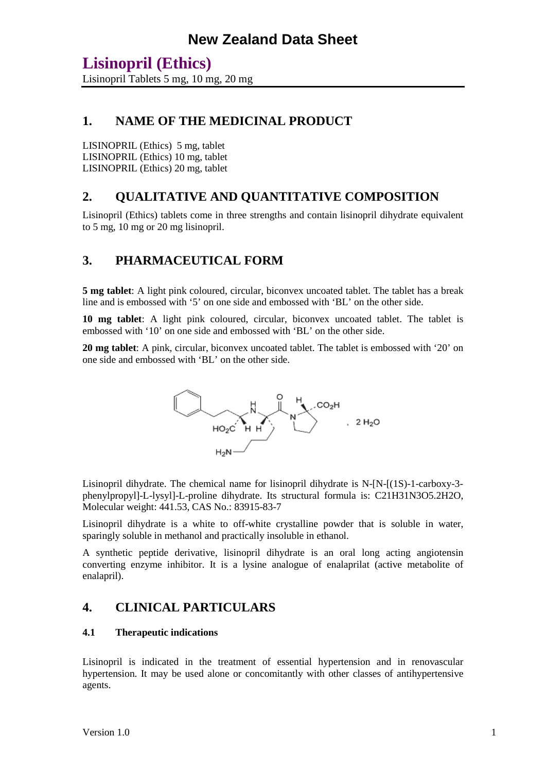### **1. NAME OF THE MEDICINAL PRODUCT**

LISINOPRIL (Ethics) 5 mg, tablet LISINOPRIL (Ethics) 10 mg, tablet LISINOPRIL (Ethics) 20 mg, tablet

### **2. QUALITATIVE AND QUANTITATIVE COMPOSITION**

Lisinopril (Ethics) tablets come in three strengths and contain lisinopril dihydrate equivalent to 5 mg, 10 mg or 20 mg lisinopril.

### **3. PHARMACEUTICAL FORM**

**5 mg tablet**: A light pink coloured, circular, biconvex uncoated tablet. The tablet has a break line and is embossed with '5' on one side and embossed with 'BL' on the other side.

**10 mg tablet**: A light pink coloured, circular, biconvex uncoated tablet. The tablet is embossed with '10' on one side and embossed with 'BL' on the other side.

**20 mg tablet**: A pink, circular, biconvex uncoated tablet. The tablet is embossed with '20' on one side and embossed with 'BL' on the other side.



Lisinopril dihydrate. The chemical name for lisinopril dihydrate is N-[N-[(1S)-1-carboxy-3 phenylpropyl]-L-lysyl]-L-proline dihydrate. Its structural formula is: C21H31N3O5.2H2O, Molecular weight: 441.53, CAS No.: 83915-83-7

Lisinopril dihydrate is a white to off-white crystalline powder that is soluble in water, sparingly soluble in methanol and practically insoluble in ethanol.

A synthetic peptide derivative, lisinopril dihydrate is an oral long acting angiotensin converting enzyme inhibitor. It is a lysine analogue of enalaprilat (active metabolite of enalapril).

### **4. CLINICAL PARTICULARS**

#### **4.1 Therapeutic indications**

Lisinopril is indicated in the treatment of essential hypertension and in renovascular hypertension. It may be used alone or concomitantly with other classes of antihypertensive agents.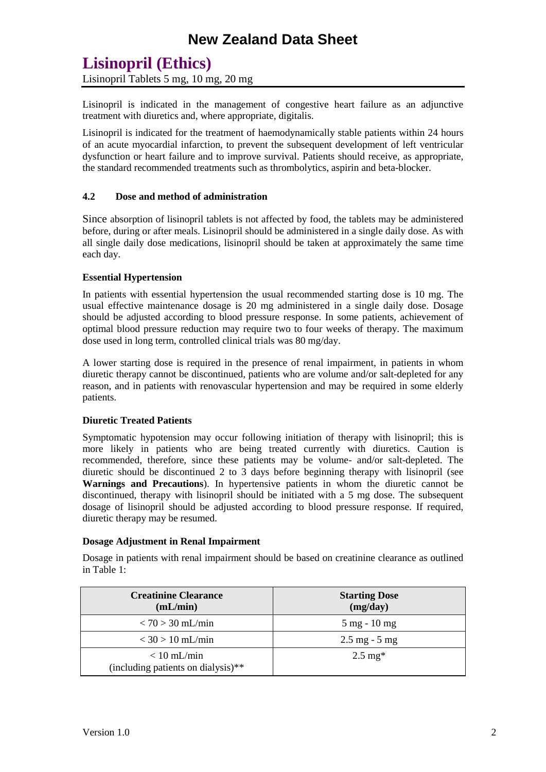Lisinopril Tablets 5 mg, 10 mg, 20 mg

Lisinopril is indicated in the management of congestive heart failure as an adjunctive treatment with diuretics and, where appropriate, digitalis.

Lisinopril is indicated for the treatment of haemodynamically stable patients within 24 hours of an acute myocardial infarction, to prevent the subsequent development of left ventricular dysfunction or heart failure and to improve survival. Patients should receive, as appropriate, the standard recommended treatments such as thrombolytics, aspirin and beta-blocker.

#### **4.2 Dose and method of administration**

Since absorption of lisinopril tablets is not affected by food, the tablets may be administered before, during or after meals. Lisinopril should be administered in a single daily dose. As with all single daily dose medications, lisinopril should be taken at approximately the same time each day.

#### **Essential Hypertension**

In patients with essential hypertension the usual recommended starting dose is 10 mg. The usual effective maintenance dosage is 20 mg administered in a single daily dose. Dosage should be adjusted according to blood pressure response. In some patients, achievement of optimal blood pressure reduction may require two to four weeks of therapy. The maximum dose used in long term, controlled clinical trials was 80 mg/day.

A lower starting dose is required in the presence of renal impairment, in patients in whom diuretic therapy cannot be discontinued, patients who are volume and/or salt-depleted for any reason, and in patients with renovascular hypertension and may be required in some elderly patients.

#### **Diuretic Treated Patients**

Symptomatic hypotension may occur following initiation of therapy with lisinopril; this is more likely in patients who are being treated currently with diuretics. Caution is recommended, therefore, since these patients may be volume- and/or salt-depleted. The diuretic should be discontinued 2 to  $\overline{3}$  days before beginning therapy with lisinopril (see **Warnings and Precautions**). In hypertensive patients in whom the diuretic cannot be discontinued, therapy with lisinopril should be initiated with a 5 mg dose. The subsequent dosage of lisinopril should be adjusted according to blood pressure response. If required, diuretic therapy may be resumed.

#### **Dosage Adjustment in Renal Impairment**

Dosage in patients with renal impairment should be based on creatinine clearance as outlined in Table 1:

| <b>Creatinine Clearance</b><br>(mL/min)             | <b>Starting Dose</b><br>(mg/day) |
|-----------------------------------------------------|----------------------------------|
| $< 70 > 30$ mL/min                                  | $5 \text{ mg} - 10 \text{ mg}$   |
| $<$ 30 > 10 mL/min                                  | $2.5 \text{ mg} - 5 \text{ mg}$  |
| $< 10$ mL/min<br>(including patients on dialysis)** | $2.5 \text{ mg*}$                |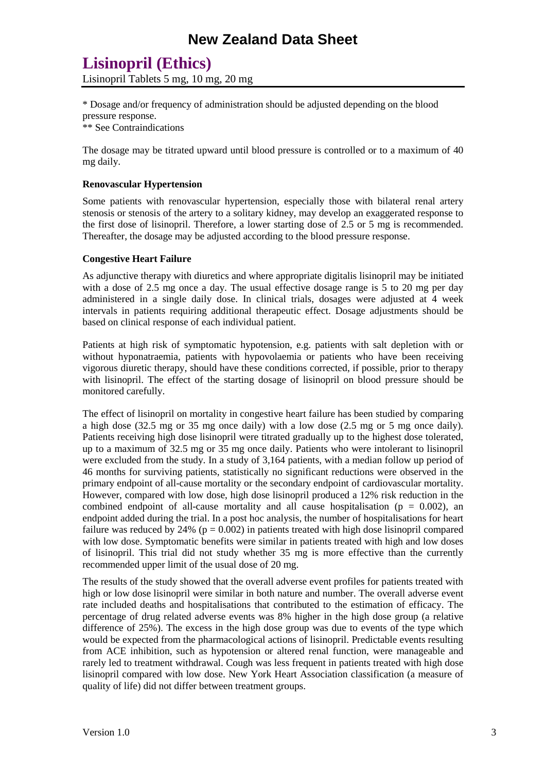# **Lisinopril (Ethics)**

Lisinopril Tablets 5 mg, 10 mg, 20 mg

\* Dosage and/or frequency of administration should be adjusted depending on the blood pressure response.

\*\* See Contraindications

The dosage may be titrated upward until blood pressure is controlled or to a maximum of 40 mg daily.

#### **Renovascular Hypertension**

Some patients with renovascular hypertension, especially those with bilateral renal artery stenosis or stenosis of the artery to a solitary kidney, may develop an exaggerated response to the first dose of lisinopril. Therefore, a lower starting dose of 2.5 or 5 mg is recommended. Thereafter, the dosage may be adjusted according to the blood pressure response.

#### **Congestive Heart Failure**

As adjunctive therapy with diuretics and where appropriate digitalis lisinopril may be initiated with a dose of 2.5 mg once a day. The usual effective dosage range is 5 to 20 mg per day administered in a single daily dose. In clinical trials, dosages were adjusted at 4 week intervals in patients requiring additional therapeutic effect. Dosage adjustments should be based on clinical response of each individual patient.

Patients at high risk of symptomatic hypotension, e.g. patients with salt depletion with or without hyponatraemia, patients with hypovolaemia or patients who have been receiving vigorous diuretic therapy, should have these conditions corrected, if possible, prior to therapy with lisinopril. The effect of the starting dosage of lisinopril on blood pressure should be monitored carefully.

The effect of lisinopril on mortality in congestive heart failure has been studied by comparing a high dose (32.5 mg or 35 mg once daily) with a low dose (2.5 mg or 5 mg once daily). Patients receiving high dose lisinopril were titrated gradually up to the highest dose tolerated, up to a maximum of 32.5 mg or 35 mg once daily. Patients who were intolerant to lisinopril were excluded from the study. In a study of 3,164 patients, with a median follow up period of 46 months for surviving patients, statistically no significant reductions were observed in the primary endpoint of all-cause mortality or the secondary endpoint of cardiovascular mortality. However, compared with low dose, high dose lisinopril produced a 12% risk reduction in the combined endpoint of all-cause mortality and all cause hospitalisation ( $p = 0.002$ ), an endpoint added during the trial. In a post hoc analysis, the number of hospitalisations for heart failure was reduced by 24% ( $p = 0.002$ ) in patients treated with high dose lisinopril compared with low dose. Symptomatic benefits were similar in patients treated with high and low doses of lisinopril. This trial did not study whether 35 mg is more effective than the currently recommended upper limit of the usual dose of 20 mg.

The results of the study showed that the overall adverse event profiles for patients treated with high or low dose lisinopril were similar in both nature and number. The overall adverse event rate included deaths and hospitalisations that contributed to the estimation of efficacy. The percentage of drug related adverse events was 8% higher in the high dose group (a relative difference of 25%). The excess in the high dose group was due to events of the type which would be expected from the pharmacological actions of lisinopril. Predictable events resulting from ACE inhibition, such as hypotension or altered renal function, were manageable and rarely led to treatment withdrawal. Cough was less frequent in patients treated with high dose lisinopril compared with low dose. New York Heart Association classification (a measure of quality of life) did not differ between treatment groups.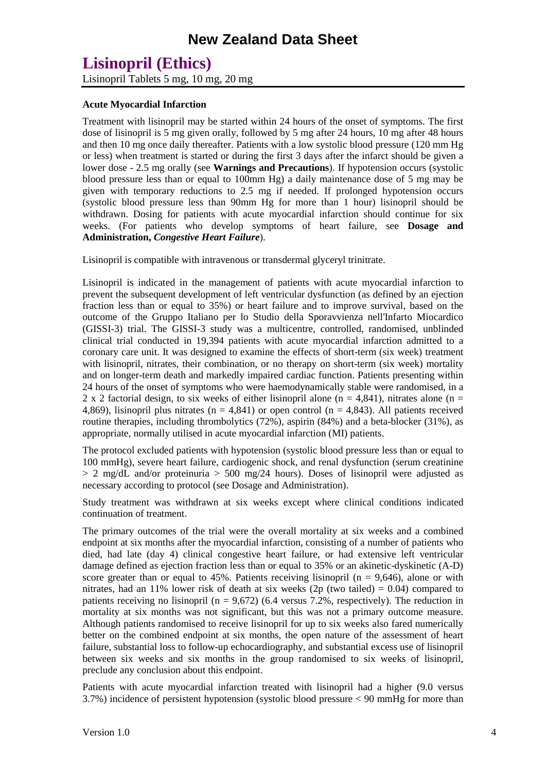Lisinopril Tablets 5 mg, 10 mg, 20 mg

#### **Acute Myocardial Infarction**

Treatment with lisinopril may be started within 24 hours of the onset of symptoms. The first dose of lisinopril is 5 mg given orally, followed by 5 mg after 24 hours, 10 mg after 48 hours and then 10 mg once daily thereafter. Patients with a low systolic blood pressure (120 mm Hg or less) when treatment is started or during the first 3 days after the infarct should be given a lower dose - 2.5 mg orally (see **Warnings and Precautions**). If hypotension occurs (systolic blood pressure less than or equal to 100mm Hg) a daily maintenance dose of 5 mg may be given with temporary reductions to 2.5 mg if needed. If prolonged hypotension occurs (systolic blood pressure less than 90mm Hg for more than 1 hour) lisinopril should be withdrawn. Dosing for patients with acute myocardial infarction should continue for six weeks. (For patients who develop symptoms of heart failure, see **Dosage and Administration,** *Congestive Heart Failure*).

Lisinopril is compatible with intravenous or transdermal glyceryl trinitrate.

Lisinopril is indicated in the management of patients with acute myocardial infarction to prevent the subsequent development of left ventricular dysfunction (as defined by an ejection fraction less than or equal to 35%) or heart failure and to improve survival, based on the outcome of the Gruppo Italiano per lo Studio della Sporavvienza nell'Infarto Miocardico (GISSI-3) trial. The GISSI-3 study was a multicentre, controlled, randomised, unblinded clinical trial conducted in 19,394 patients with acute myocardial infarction admitted to a coronary care unit. It was designed to examine the effects of short-term (six week) treatment with lisinopril, nitrates, their combination, or no therapy on short-term (six week) mortality and on longer-term death and markedly impaired cardiac function. Patients presenting within 24 hours of the onset of symptoms who were haemodynamically stable were randomised, in a 2 x 2 factorial design, to six weeks of either lisinopril alone (n = 4,841), nitrates alone (n = 4,869), lisinopril plus nitrates ( $n = 4,841$ ) or open control ( $n = 4,843$ ). All patients received routine therapies, including thrombolytics (72%), aspirin (84%) and a beta-blocker (31%), as appropriate, normally utilised in acute myocardial infarction (MI) patients.

The protocol excluded patients with hypotension (systolic blood pressure less than or equal to 100 mmHg), severe heart failure, cardiogenic shock, and renal dysfunction (serum creatinine  $> 2$  mg/dL and/or proteinuria  $> 500$  mg/24 hours). Doses of lisinopril were adjusted as necessary according to protocol (see Dosage and Administration).

Study treatment was withdrawn at six weeks except where clinical conditions indicated continuation of treatment.

The primary outcomes of the trial were the overall mortality at six weeks and a combined endpoint at six months after the myocardial infarction, consisting of a number of patients who died, had late (day 4) clinical congestive heart failure, or had extensive left ventricular damage defined as ejection fraction less than or equal to 35% or an akinetic-dyskinetic (A-D) score greater than or equal to 45%. Patients receiving lisinopril ( $n = 9,646$ ), alone or with nitrates, had an 11% lower risk of death at six weeks (2p (two tailed) =  $0.04$ ) compared to patients receiving no lisinopril ( $n = 9.672$ ) (6.4 versus 7.2%, respectively). The reduction in mortality at six months was not significant, but this was not a primary outcome measure. Although patients randomised to receive lisinopril for up to six weeks also fared numerically better on the combined endpoint at six months, the open nature of the assessment of heart failure, substantial loss to follow-up echocardiography, and substantial excess use of lisinopril between six weeks and six months in the group randomised to six weeks of lisinopril, preclude any conclusion about this endpoint.

Patients with acute myocardial infarction treated with lisinopril had a higher (9.0 versus 3.7%) incidence of persistent hypotension (systolic blood pressure < 90 mmHg for more than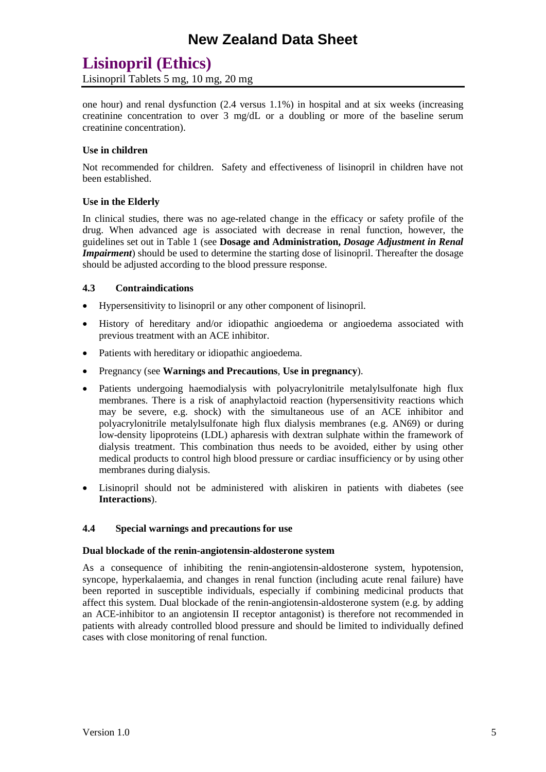Lisinopril Tablets 5 mg, 10 mg, 20 mg

one hour) and renal dysfunction (2.4 versus 1.1%) in hospital and at six weeks (increasing creatinine concentration to over 3 mg/dL or a doubling or more of the baseline serum creatinine concentration).

#### **Use in children**

Not recommended for children. Safety and effectiveness of lisinopril in children have not been established.

#### **Use in the Elderly**

In clinical studies, there was no age-related change in the efficacy or safety profile of the drug. When advanced age is associated with decrease in renal function, however, the guidelines set out in Table 1 (see **Dosage and Administration,** *Dosage Adjustment in Renal Impairment*) should be used to determine the starting dose of lisinopril. Thereafter the dosage should be adjusted according to the blood pressure response.

#### **4.3 Contraindications**

- Hypersensitivity to lisinopril or any other component of lisinopril.
- History of hereditary and/or idiopathic angioedema or angioedema associated with previous treatment with an ACE inhibitor.
- Patients with hereditary or idiopathic angioedema.
- Pregnancy (see **Warnings and Precautions**, **Use in pregnancy**).
- Patients undergoing haemodialysis with polyacrylonitrile metalylsulfonate high flux membranes. There is a risk of anaphylactoid reaction (hypersensitivity reactions which may be severe, e.g. shock) with the simultaneous use of an ACE inhibitor and polyacrylonitrile metalylsulfonate high flux dialysis membranes (e.g. AN69) or during low-density lipoproteins (LDL) apharesis with dextran sulphate within the framework of dialysis treatment. This combination thus needs to be avoided, either by using other medical products to control high blood pressure or cardiac insufficiency or by using other membranes during dialysis.
- Lisinopril should not be administered with aliskiren in patients with diabetes (see **Interactions**).

#### **4.4 Special warnings and precautions for use**

#### **Dual blockade of the renin-angiotensin-aldosterone system**

As a consequence of inhibiting the renin-angiotensin-aldosterone system, hypotension, syncope, hyperkalaemia, and changes in renal function (including acute renal failure) have been reported in susceptible individuals, especially if combining medicinal products that affect this system. Dual blockade of the renin-angiotensin-aldosterone system (e.g. by adding an ACE-inhibitor to an angiotensin II receptor antagonist) is therefore not recommended in patients with already controlled blood pressure and should be limited to individually defined cases with close monitoring of renal function.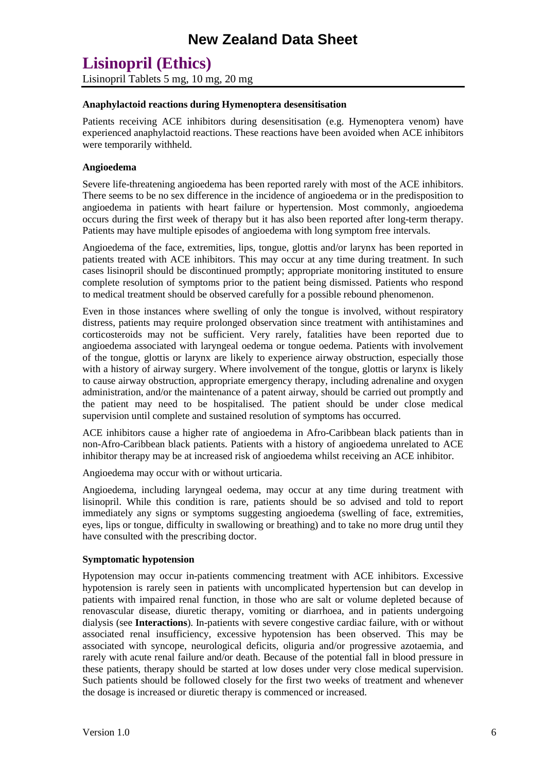### **Lisinopril (Ethics)** Lisinopril Tablets 5 mg, 10 mg, 20 mg

#### **Anaphylactoid reactions during Hymenoptera desensitisation**

Patients receiving ACE inhibitors during desensitisation (e.g. Hymenoptera venom) have experienced anaphylactoid reactions. These reactions have been avoided when ACE inhibitors were temporarily withheld.

#### **Angioedema**

Severe life-threatening angioedema has been reported rarely with most of the ACE inhibitors. There seems to be no sex difference in the incidence of angioedema or in the predisposition to angioedema in patients with heart failure or hypertension. Most commonly, angioedema occurs during the first week of therapy but it has also been reported after long-term therapy. Patients may have multiple episodes of angioedema with long symptom free intervals.

Angioedema of the face, extremities, lips, tongue, glottis and/or larynx has been reported in patients treated with ACE inhibitors. This may occur at any time during treatment. In such cases lisinopril should be discontinued promptly; appropriate monitoring instituted to ensure complete resolution of symptoms prior to the patient being dismissed. Patients who respond to medical treatment should be observed carefully for a possible rebound phenomenon.

Even in those instances where swelling of only the tongue is involved, without respiratory distress, patients may require prolonged observation since treatment with antihistamines and corticosteroids may not be sufficient. Very rarely, fatalities have been reported due to angioedema associated with laryngeal oedema or tongue oedema. Patients with involvement of the tongue, glottis or larynx are likely to experience airway obstruction, especially those with a history of airway surgery. Where involvement of the tongue, glottis or larynx is likely to cause airway obstruction, appropriate emergency therapy, including adrenaline and oxygen administration, and/or the maintenance of a patent airway, should be carried out promptly and the patient may need to be hospitalised. The patient should be under close medical supervision until complete and sustained resolution of symptoms has occurred.

ACE inhibitors cause a higher rate of angioedema in Afro-Caribbean black patients than in non-Afro-Caribbean black patients. Patients with a history of angioedema unrelated to ACE inhibitor therapy may be at increased risk of angioedema whilst receiving an ACE inhibitor.

Angioedema may occur with or without urticaria.

Angioedema, including laryngeal oedema, may occur at any time during treatment with lisinopril. While this condition is rare, patients should be so advised and told to report immediately any signs or symptoms suggesting angioedema (swelling of face, extremities, eyes, lips or tongue, difficulty in swallowing or breathing) and to take no more drug until they have consulted with the prescribing doctor.

#### **Symptomatic hypotension**

Hypotension may occur in-patients commencing treatment with ACE inhibitors. Excessive hypotension is rarely seen in patients with uncomplicated hypertension but can develop in patients with impaired renal function, in those who are salt or volume depleted because of renovascular disease, diuretic therapy, vomiting or diarrhoea, and in patients undergoing dialysis (see **Interactions**). In-patients with severe congestive cardiac failure, with or without associated renal insufficiency, excessive hypotension has been observed. This may be associated with syncope, neurological deficits, oliguria and/or progressive azotaemia, and rarely with acute renal failure and/or death. Because of the potential fall in blood pressure in these patients, therapy should be started at low doses under very close medical supervision. Such patients should be followed closely for the first two weeks of treatment and whenever the dosage is increased or diuretic therapy is commenced or increased.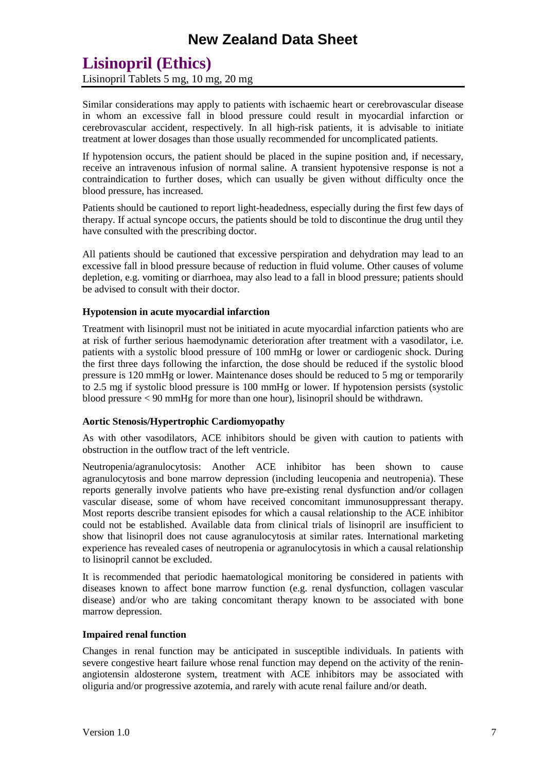# **Lisinopril (Ethics)**

Lisinopril Tablets 5 mg, 10 mg, 20 mg

Similar considerations may apply to patients with ischaemic heart or cerebrovascular disease in whom an excessive fall in blood pressure could result in myocardial infarction or cerebrovascular accident, respectively. In all high-risk patients, it is advisable to initiate treatment at lower dosages than those usually recommended for uncomplicated patients.

If hypotension occurs, the patient should be placed in the supine position and, if necessary, receive an intravenous infusion of normal saline. A transient hypotensive response is not a contraindication to further doses, which can usually be given without difficulty once the blood pressure, has increased.

Patients should be cautioned to report light-headedness, especially during the first few days of therapy. If actual syncope occurs, the patients should be told to discontinue the drug until they have consulted with the prescribing doctor.

All patients should be cautioned that excessive perspiration and dehydration may lead to an excessive fall in blood pressure because of reduction in fluid volume. Other causes of volume depletion, e.g. vomiting or diarrhoea, may also lead to a fall in blood pressure; patients should be advised to consult with their doctor.

#### **Hypotension in acute myocardial infarction**

Treatment with lisinopril must not be initiated in acute myocardial infarction patients who are at risk of further serious haemodynamic deterioration after treatment with a vasodilator, i.e. patients with a systolic blood pressure of 100 mmHg or lower or cardiogenic shock. During the first three days following the infarction, the dose should be reduced if the systolic blood pressure is 120 mmHg or lower. Maintenance doses should be reduced to 5 mg or temporarily to 2.5 mg if systolic blood pressure is 100 mmHg or lower. If hypotension persists (systolic blood pressure < 90 mmHg for more than one hour), lisinopril should be withdrawn.

#### **Aortic Stenosis/Hypertrophic Cardiomyopathy**

As with other vasodilators, ACE inhibitors should be given with caution to patients with obstruction in the outflow tract of the left ventricle.

Neutropenia/agranulocytosis: Another ACE inhibitor has been shown to cause agranulocytosis and bone marrow depression (including leucopenia and neutropenia). These reports generally involve patients who have pre-existing renal dysfunction and/or collagen vascular disease, some of whom have received concomitant immunosuppressant therapy. Most reports describe transient episodes for which a causal relationship to the ACE inhibitor could not be established. Available data from clinical trials of lisinopril are insufficient to show that lisinopril does not cause agranulocytosis at similar rates. International marketing experience has revealed cases of neutropenia or agranulocytosis in which a causal relationship to lisinopril cannot be excluded.

It is recommended that periodic haematological monitoring be considered in patients with diseases known to affect bone marrow function (e.g. renal dysfunction, collagen vascular disease) and/or who are taking concomitant therapy known to be associated with bone marrow depression.

#### **Impaired renal function**

Changes in renal function may be anticipated in susceptible individuals. In patients with severe congestive heart failure whose renal function may depend on the activity of the reninangiotensin aldosterone system, treatment with ACE inhibitors may be associated with oliguria and/or progressive azotemia, and rarely with acute renal failure and/or death.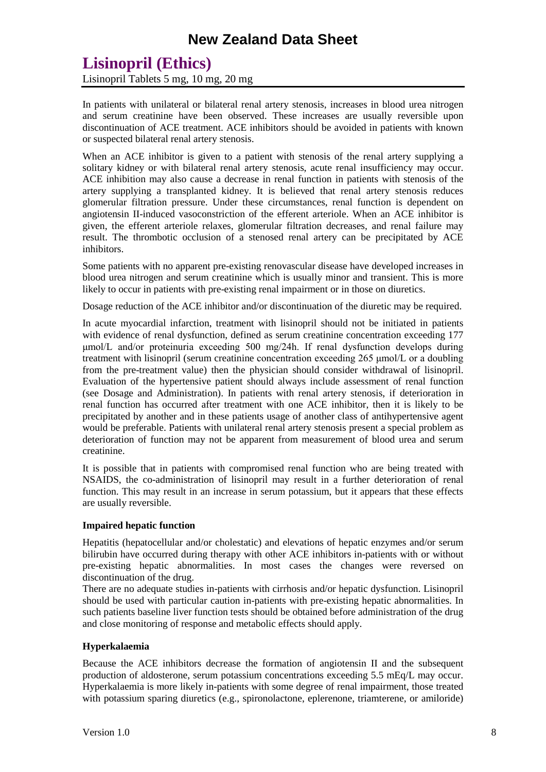# **Lisinopril (Ethics)**

Lisinopril Tablets 5 mg, 10 mg, 20 mg

In patients with unilateral or bilateral renal artery stenosis, increases in blood urea nitrogen and serum creatinine have been observed. These increases are usually reversible upon discontinuation of ACE treatment. ACE inhibitors should be avoided in patients with known or suspected bilateral renal artery stenosis.

When an ACE inhibitor is given to a patient with stenosis of the renal artery supplying a solitary kidney or with bilateral renal artery stenosis, acute renal insufficiency may occur. ACE inhibition may also cause a decrease in renal function in patients with stenosis of the artery supplying a transplanted kidney. It is believed that renal artery stenosis reduces glomerular filtration pressure. Under these circumstances, renal function is dependent on angiotensin II-induced vasoconstriction of the efferent arteriole. When an ACE inhibitor is given, the efferent arteriole relaxes, glomerular filtration decreases, and renal failure may result. The thrombotic occlusion of a stenosed renal artery can be precipitated by ACE inhibitors.

Some patients with no apparent pre-existing renovascular disease have developed increases in blood urea nitrogen and serum creatinine which is usually minor and transient. This is more likely to occur in patients with pre-existing renal impairment or in those on diuretics.

Dosage reduction of the ACE inhibitor and/or discontinuation of the diuretic may be required.

In acute myocardial infarction, treatment with lisinopril should not be initiated in patients with evidence of renal dysfunction, defined as serum creatinine concentration exceeding 177 μmol/L and/or proteinuria exceeding 500 mg/24h. If renal dysfunction develops during treatment with lisinopril (serum creatinine concentration exceeding 265 μmol/L or a doubling from the pre-treatment value) then the physician should consider withdrawal of lisinopril. Evaluation of the hypertensive patient should always include assessment of renal function (see Dosage and Administration). In patients with renal artery stenosis, if deterioration in renal function has occurred after treatment with one ACE inhibitor, then it is likely to be precipitated by another and in these patients usage of another class of antihypertensive agent would be preferable. Patients with unilateral renal artery stenosis present a special problem as deterioration of function may not be apparent from measurement of blood urea and serum creatinine.

It is possible that in patients with compromised renal function who are being treated with NSAIDS, the co-administration of lisinopril may result in a further deterioration of renal function. This may result in an increase in serum potassium, but it appears that these effects are usually reversible.

#### **Impaired hepatic function**

Hepatitis (hepatocellular and/or cholestatic) and elevations of hepatic enzymes and/or serum bilirubin have occurred during therapy with other ACE inhibitors in-patients with or without pre-existing hepatic abnormalities. In most cases the changes were reversed on discontinuation of the drug.

There are no adequate studies in-patients with cirrhosis and/or hepatic dysfunction. Lisinopril should be used with particular caution in-patients with pre-existing hepatic abnormalities. In such patients baseline liver function tests should be obtained before administration of the drug and close monitoring of response and metabolic effects should apply.

#### **Hyperkalaemia**

Because the ACE inhibitors decrease the formation of angiotensin II and the subsequent production of aldosterone, serum potassium concentrations exceeding 5.5 mEq/L may occur. Hyperkalaemia is more likely in-patients with some degree of renal impairment, those treated with potassium sparing diuretics (e.g., spironolactone, eplerenone, triamterene, or amiloride)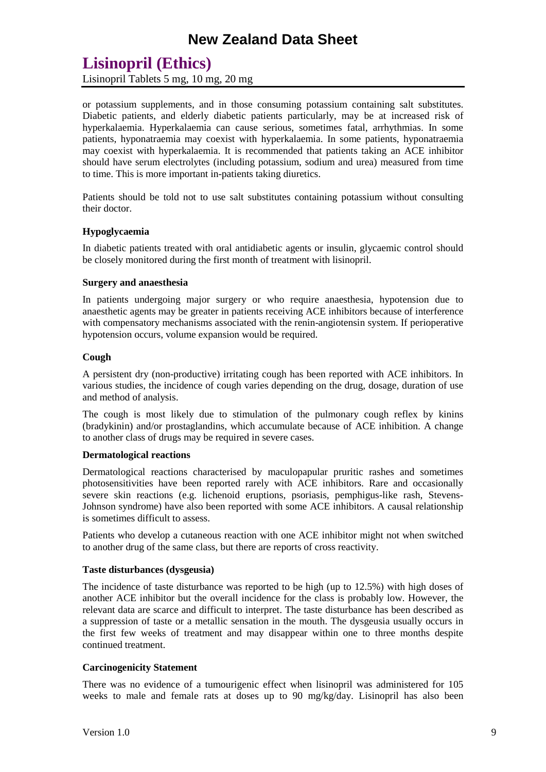# **Lisinopril (Ethics)**

Lisinopril Tablets 5 mg, 10 mg, 20 mg

or potassium supplements, and in those consuming potassium containing salt substitutes. Diabetic patients, and elderly diabetic patients particularly, may be at increased risk of hyperkalaemia. Hyperkalaemia can cause serious, sometimes fatal, arrhythmias. In some patients, hyponatraemia may coexist with hyperkalaemia. In some patients, hyponatraemia may coexist with hyperkalaemia. It is recommended that patients taking an ACE inhibitor should have serum electrolytes (including potassium, sodium and urea) measured from time to time. This is more important in-patients taking diuretics.

Patients should be told not to use salt substitutes containing potassium without consulting their doctor.

#### **Hypoglycaemia**

In diabetic patients treated with oral antidiabetic agents or insulin, glycaemic control should be closely monitored during the first month of treatment with lisinopril.

#### **Surgery and anaesthesia**

In patients undergoing major surgery or who require anaesthesia, hypotension due to anaesthetic agents may be greater in patients receiving ACE inhibitors because of interference with compensatory mechanisms associated with the renin-angiotensin system. If perioperative hypotension occurs, volume expansion would be required.

#### **Cough**

A persistent dry (non-productive) irritating cough has been reported with ACE inhibitors. In various studies, the incidence of cough varies depending on the drug, dosage, duration of use and method of analysis.

The cough is most likely due to stimulation of the pulmonary cough reflex by kinins (bradykinin) and/or prostaglandins, which accumulate because of ACE inhibition. A change to another class of drugs may be required in severe cases.

#### **Dermatological reactions**

Dermatological reactions characterised by maculopapular pruritic rashes and sometimes photosensitivities have been reported rarely with ACE inhibitors. Rare and occasionally severe skin reactions (e.g. lichenoid eruptions, psoriasis, pemphigus-like rash, Stevens-Johnson syndrome) have also been reported with some ACE inhibitors. A causal relationship is sometimes difficult to assess.

Patients who develop a cutaneous reaction with one ACE inhibitor might not when switched to another drug of the same class, but there are reports of cross reactivity.

#### **Taste disturbances (dysgeusia)**

The incidence of taste disturbance was reported to be high (up to 12.5%) with high doses of another ACE inhibitor but the overall incidence for the class is probably low. However, the relevant data are scarce and difficult to interpret. The taste disturbance has been described as a suppression of taste or a metallic sensation in the mouth. The dysgeusia usually occurs in the first few weeks of treatment and may disappear within one to three months despite continued treatment.

#### **Carcinogenicity Statement**

There was no evidence of a tumourigenic effect when lisinopril was administered for 105 weeks to male and female rats at doses up to 90 mg/kg/day. Lisinopril has also been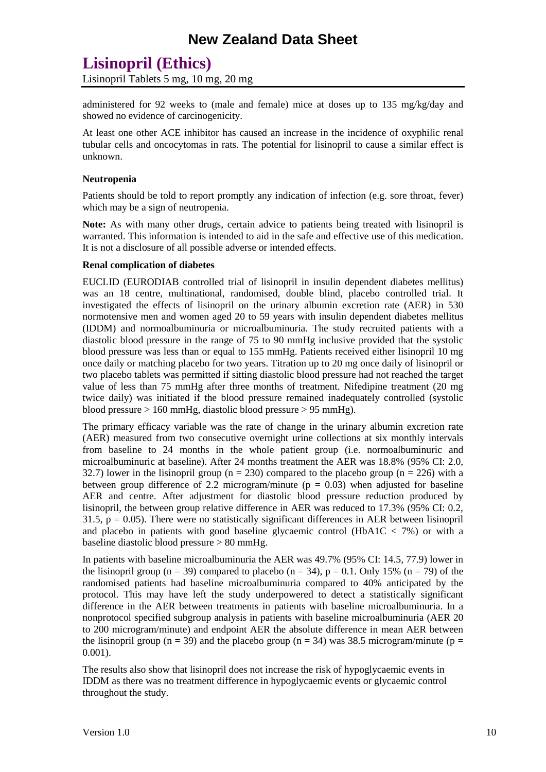# **Lisinopril (Ethics)**

Lisinopril Tablets 5 mg, 10 mg, 20 mg

administered for 92 weeks to (male and female) mice at doses up to 135 mg/kg/day and showed no evidence of carcinogenicity.

At least one other ACE inhibitor has caused an increase in the incidence of oxyphilic renal tubular cells and oncocytomas in rats. The potential for lisinopril to cause a similar effect is unknown.

#### **Neutropenia**

Patients should be told to report promptly any indication of infection (e.g. sore throat, fever) which may be a sign of neutropenia.

**Note:** As with many other drugs, certain advice to patients being treated with lisinopril is warranted. This information is intended to aid in the safe and effective use of this medication. It is not a disclosure of all possible adverse or intended effects.

#### **Renal complication of diabetes**

EUCLID (EURODIAB controlled trial of lisinopril in insulin dependent diabetes mellitus) was an 18 centre, multinational, randomised, double blind, placebo controlled trial. It investigated the effects of lisinopril on the urinary albumin excretion rate (AER) in 530 normotensive men and women aged 20 to 59 years with insulin dependent diabetes mellitus (IDDM) and normoalbuminuria or microalbuminuria. The study recruited patients with a diastolic blood pressure in the range of 75 to 90 mmHg inclusive provided that the systolic blood pressure was less than or equal to 155 mmHg. Patients received either lisinopril 10 mg once daily or matching placebo for two years. Titration up to 20 mg once daily of lisinopril or two placebo tablets was permitted if sitting diastolic blood pressure had not reached the target value of less than 75 mmHg after three months of treatment. Nifedipine treatment (20 mg twice daily) was initiated if the blood pressure remained inadequately controlled (systolic blood pressure > 160 mmHg, diastolic blood pressure > 95 mmHg).

The primary efficacy variable was the rate of change in the urinary albumin excretion rate (AER) measured from two consecutive overnight urine collections at six monthly intervals from baseline to 24 months in the whole patient group (i.e. normoalbuminuric and microalbuminuric at baseline). After 24 months treatment the AER was 18.8% (95% CI: 2.0, 32.7) lower in the lisinopril group ( $n = 230$ ) compared to the placebo group ( $n = 226$ ) with a between group difference of 2.2 microgram/minute ( $p = 0.03$ ) when adjusted for baseline AER and centre. After adjustment for diastolic blood pressure reduction produced by lisinopril, the between group relative difference in AER was reduced to 17.3% (95% CI: 0.2, 31.5,  $p = 0.05$ ). There were no statistically significant differences in AER between lisinopril and placebo in patients with good baseline glycaemic control (HbA1C  $<$  7%) or with a baseline diastolic blood pressure > 80 mmHg.

In patients with baseline microalbuminuria the AER was 49.7% (95% CI: 14.5, 77.9) lower in the lisinopril group (n = 39) compared to placebo (n = 34),  $p = 0.1$ . Only 15% (n = 79) of the randomised patients had baseline microalbuminuria compared to 40% anticipated by the protocol. This may have left the study underpowered to detect a statistically significant difference in the AER between treatments in patients with baseline microalbuminuria. In a nonprotocol specified subgroup analysis in patients with baseline microalbuminuria (AER 20 to 200 microgram/minute) and endpoint AER the absolute difference in mean AER between the lisinopril group (n = 39) and the placebo group (n = 34) was 38.5 microgram/minute (p = 0.001).

The results also show that lisinopril does not increase the risk of hypoglycaemic events in IDDM as there was no treatment difference in hypoglycaemic events or glycaemic control throughout the study.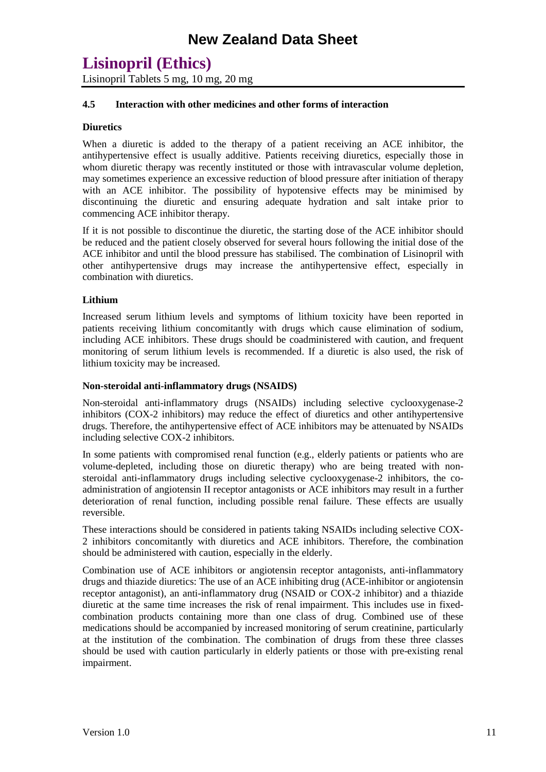### **Lisinopril (Ethics)**

Lisinopril Tablets 5 mg, 10 mg, 20 mg

#### **4.5 Interaction with other medicines and other forms of interaction**

#### **Diuretics**

When a diuretic is added to the therapy of a patient receiving an ACE inhibitor, the antihypertensive effect is usually additive. Patients receiving diuretics, especially those in whom diuretic therapy was recently instituted or those with intravascular volume depletion, may sometimes experience an excessive reduction of blood pressure after initiation of therapy with an ACE inhibitor. The possibility of hypotensive effects may be minimised by discontinuing the diuretic and ensuring adequate hydration and salt intake prior to commencing ACE inhibitor therapy.

If it is not possible to discontinue the diuretic, the starting dose of the ACE inhibitor should be reduced and the patient closely observed for several hours following the initial dose of the ACE inhibitor and until the blood pressure has stabilised. The combination of Lisinopril with other antihypertensive drugs may increase the antihypertensive effect, especially in combination with diuretics.

#### **Lithium**

Increased serum lithium levels and symptoms of lithium toxicity have been reported in patients receiving lithium concomitantly with drugs which cause elimination of sodium, including ACE inhibitors. These drugs should be coadministered with caution, and frequent monitoring of serum lithium levels is recommended. If a diuretic is also used, the risk of lithium toxicity may be increased.

#### **Non-steroidal anti-inflammatory drugs (NSAIDS)**

Non-steroidal anti-inflammatory drugs (NSAIDs) including selective cyclooxygenase-2 inhibitors (COX-2 inhibitors) may reduce the effect of diuretics and other antihypertensive drugs. Therefore, the antihypertensive effect of ACE inhibitors may be attenuated by NSAIDs including selective COX-2 inhibitors.

In some patients with compromised renal function (e.g., elderly patients or patients who are volume-depleted, including those on diuretic therapy) who are being treated with nonsteroidal anti-inflammatory drugs including selective cyclooxygenase-2 inhibitors, the coadministration of angiotensin II receptor antagonists or ACE inhibitors may result in a further deterioration of renal function, including possible renal failure. These effects are usually reversible.

These interactions should be considered in patients taking NSAIDs including selective COX-2 inhibitors concomitantly with diuretics and ACE inhibitors. Therefore, the combination should be administered with caution, especially in the elderly.

Combination use of ACE inhibitors or angiotensin receptor antagonists, anti-inflammatory drugs and thiazide diuretics: The use of an ACE inhibiting drug (ACE-inhibitor or angiotensin receptor antagonist), an anti-inflammatory drug (NSAID or COX-2 inhibitor) and a thiazide diuretic at the same time increases the risk of renal impairment. This includes use in fixedcombination products containing more than one class of drug. Combined use of these medications should be accompanied by increased monitoring of serum creatinine, particularly at the institution of the combination. The combination of drugs from these three classes should be used with caution particularly in elderly patients or those with pre-existing renal impairment.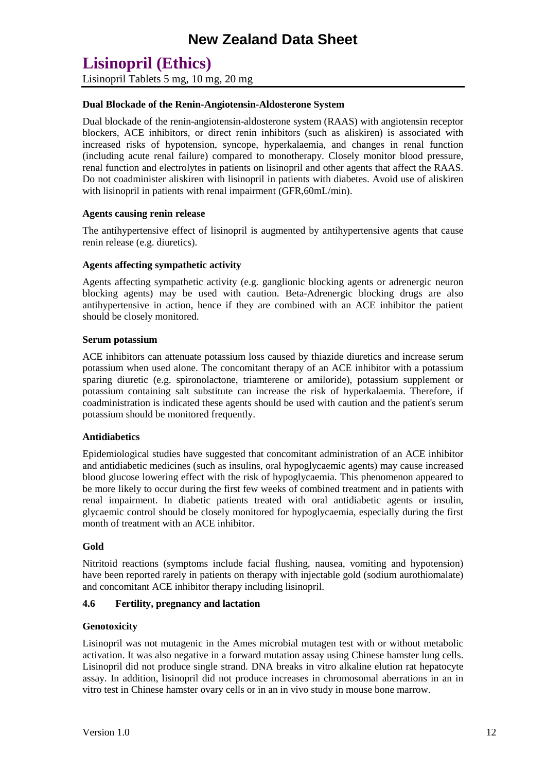Lisinopril Tablets 5 mg, 10 mg, 20 mg

#### **Dual Blockade of the Renin-Angiotensin-Aldosterone System**

Dual blockade of the renin-angiotensin-aldosterone system (RAAS) with angiotensin receptor blockers, ACE inhibitors, or direct renin inhibitors (such as aliskiren) is associated with increased risks of hypotension, syncope, hyperkalaemia, and changes in renal function (including acute renal failure) compared to monotherapy. Closely monitor blood pressure, renal function and electrolytes in patients on lisinopril and other agents that affect the RAAS. Do not coadminister aliskiren with lisinopril in patients with diabetes. Avoid use of aliskiren with lisinopril in patients with renal impairment (GFR,60mL/min).

#### **Agents causing renin release**

The antihypertensive effect of lisinopril is augmented by antihypertensive agents that cause renin release (e.g. diuretics).

#### **Agents affecting sympathetic activity**

Agents affecting sympathetic activity (e.g. ganglionic blocking agents or adrenergic neuron blocking agents) may be used with caution. Beta-Adrenergic blocking drugs are also antihypertensive in action, hence if they are combined with an ACE inhibitor the patient should be closely monitored.

#### **Serum potassium**

ACE inhibitors can attenuate potassium loss caused by thiazide diuretics and increase serum potassium when used alone. The concomitant therapy of an ACE inhibitor with a potassium sparing diuretic (e.g. spironolactone, triamterene or amiloride), potassium supplement or potassium containing salt substitute can increase the risk of hyperkalaemia. Therefore, if coadministration is indicated these agents should be used with caution and the patient's serum potassium should be monitored frequently.

#### **Antidiabetics**

Epidemiological studies have suggested that concomitant administration of an ACE inhibitor and antidiabetic medicines (such as insulins, oral hypoglycaemic agents) may cause increased blood glucose lowering effect with the risk of hypoglycaemia. This phenomenon appeared to be more likely to occur during the first few weeks of combined treatment and in patients with renal impairment. In diabetic patients treated with oral antidiabetic agents or insulin, glycaemic control should be closely monitored for hypoglycaemia, especially during the first month of treatment with an ACE inhibitor.

#### **Gold**

Nitritoid reactions (symptoms include facial flushing, nausea, vomiting and hypotension) have been reported rarely in patients on therapy with injectable gold (sodium aurothiomalate) and concomitant ACE inhibitor therapy including lisinopril.

#### **4.6 Fertility, pregnancy and lactation**

#### **Genotoxicity**

Lisinopril was not mutagenic in the Ames microbial mutagen test with or without metabolic activation. It was also negative in a forward mutation assay using Chinese hamster lung cells. Lisinopril did not produce single strand. DNA breaks in vitro alkaline elution rat hepatocyte assay. In addition, lisinopril did not produce increases in chromosomal aberrations in an in vitro test in Chinese hamster ovary cells or in an in vivo study in mouse bone marrow.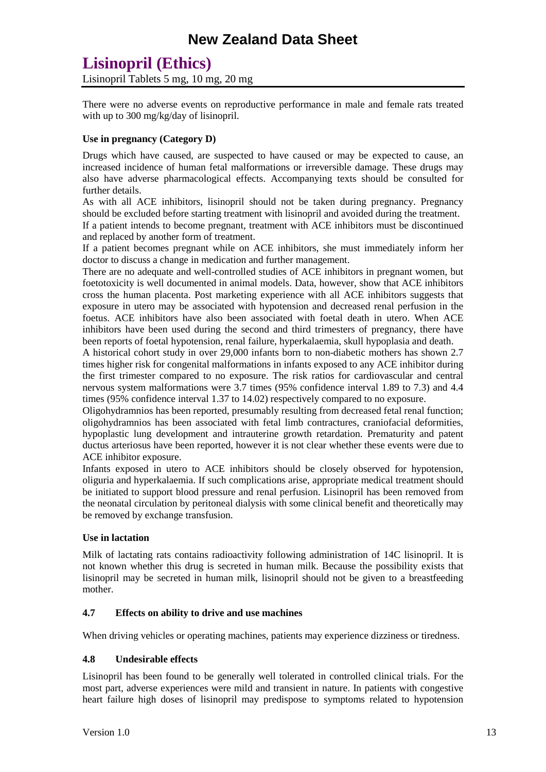### **Lisinopril (Ethics)** Lisinopril Tablets 5 mg, 10 mg, 20 mg

There were no adverse events on reproductive performance in male and female rats treated with up to 300 mg/kg/day of lisinopril.

#### **Use in pregnancy (Category D)**

Drugs which have caused, are suspected to have caused or may be expected to cause, an increased incidence of human fetal malformations or irreversible damage. These drugs may also have adverse pharmacological effects. Accompanying texts should be consulted for further details.

As with all ACE inhibitors, lisinopril should not be taken during pregnancy. Pregnancy should be excluded before starting treatment with lisinopril and avoided during the treatment.

If a patient intends to become pregnant, treatment with ACE inhibitors must be discontinued and replaced by another form of treatment.

If a patient becomes pregnant while on ACE inhibitors, she must immediately inform her doctor to discuss a change in medication and further management.

There are no adequate and well-controlled studies of ACE inhibitors in pregnant women, but foetotoxicity is well documented in animal models. Data, however, show that ACE inhibitors cross the human placenta. Post marketing experience with all ACE inhibitors suggests that exposure in utero may be associated with hypotension and decreased renal perfusion in the foetus. ACE inhibitors have also been associated with foetal death in utero. When ACE inhibitors have been used during the second and third trimesters of pregnancy, there have been reports of foetal hypotension, renal failure, hyperkalaemia, skull hypoplasia and death.

A historical cohort study in over 29,000 infants born to non-diabetic mothers has shown 2.7 times higher risk for congenital malformations in infants exposed to any ACE inhibitor during the first trimester compared to no exposure. The risk ratios for cardiovascular and central nervous system malformations were 3.7 times (95% confidence interval 1.89 to 7.3) and 4.4 times (95% confidence interval 1.37 to 14.02) respectively compared to no exposure.

Oligohydramnios has been reported, presumably resulting from decreased fetal renal function; oligohydramnios has been associated with fetal limb contractures, craniofacial deformities, hypoplastic lung development and intrauterine growth retardation. Prematurity and patent ductus arteriosus have been reported, however it is not clear whether these events were due to ACE inhibitor exposure.

Infants exposed in utero to ACE inhibitors should be closely observed for hypotension, oliguria and hyperkalaemia. If such complications arise, appropriate medical treatment should be initiated to support blood pressure and renal perfusion. Lisinopril has been removed from the neonatal circulation by peritoneal dialysis with some clinical benefit and theoretically may be removed by exchange transfusion.

#### **Use in lactation**

Milk of lactating rats contains radioactivity following administration of 14C lisinopril. It is not known whether this drug is secreted in human milk. Because the possibility exists that lisinopril may be secreted in human milk, lisinopril should not be given to a breastfeeding mother.

#### **4.7 Effects on ability to drive and use machines**

When driving vehicles or operating machines, patients may experience dizziness or tiredness.

#### **4.8 Undesirable effects**

Lisinopril has been found to be generally well tolerated in controlled clinical trials. For the most part, adverse experiences were mild and transient in nature. In patients with congestive heart failure high doses of lisinopril may predispose to symptoms related to hypotension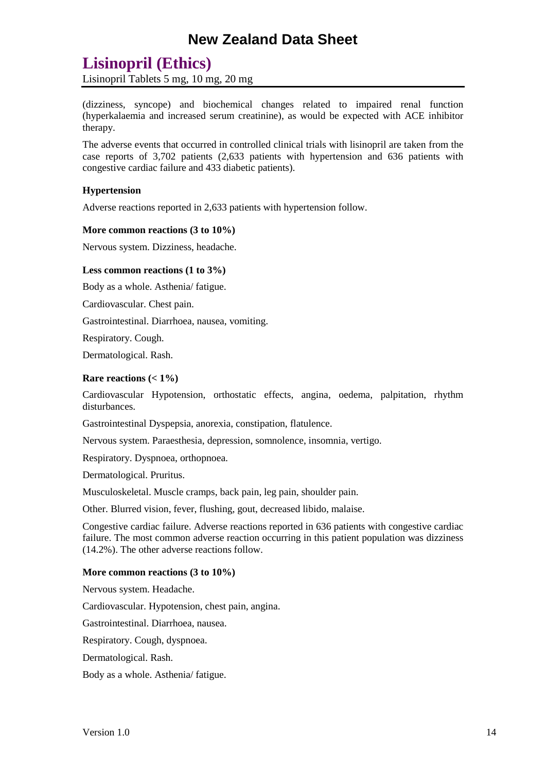### **Lisinopril (Ethics)**

Lisinopril Tablets 5 mg, 10 mg, 20 mg

(dizziness, syncope) and biochemical changes related to impaired renal function (hyperkalaemia and increased serum creatinine), as would be expected with ACE inhibitor therapy.

The adverse events that occurred in controlled clinical trials with lisinopril are taken from the case reports of 3,702 patients (2,633 patients with hypertension and 636 patients with congestive cardiac failure and 433 diabetic patients).

#### **Hypertension**

Adverse reactions reported in 2,633 patients with hypertension follow.

#### **More common reactions (3 to 10%)**

Nervous system. Dizziness, headache.

#### **Less common reactions (1 to 3%)**

Body as a whole. Asthenia/ fatigue.

Cardiovascular. Chest pain.

Gastrointestinal. Diarrhoea, nausea, vomiting.

Respiratory. Cough.

Dermatological. Rash.

#### **Rare reactions (< 1%)**

Cardiovascular Hypotension, orthostatic effects, angina, oedema, palpitation, rhythm disturbances.

Gastrointestinal Dyspepsia, anorexia, constipation, flatulence.

Nervous system. Paraesthesia, depression, somnolence, insomnia, vertigo.

Respiratory. Dyspnoea, orthopnoea.

Dermatological. Pruritus.

Musculoskeletal. Muscle cramps, back pain, leg pain, shoulder pain.

Other. Blurred vision, fever, flushing, gout, decreased libido, malaise.

Congestive cardiac failure. Adverse reactions reported in 636 patients with congestive cardiac failure. The most common adverse reaction occurring in this patient population was dizziness (14.2%). The other adverse reactions follow.

#### **More common reactions (3 to 10%)**

Nervous system. Headache.

Cardiovascular. Hypotension, chest pain, angina.

Gastrointestinal. Diarrhoea, nausea.

Respiratory. Cough, dyspnoea.

Dermatological. Rash.

Body as a whole. Asthenia/ fatigue.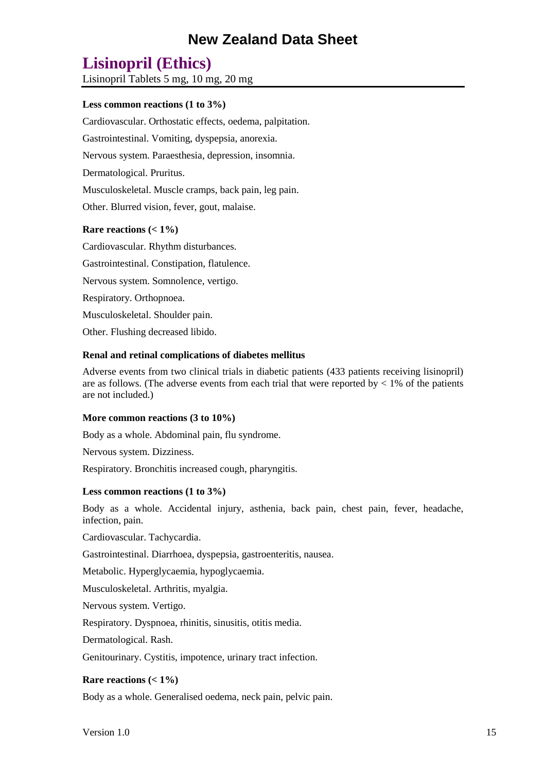### **Lisinopril (Ethics)**

Lisinopril Tablets 5 mg, 10 mg, 20 mg

#### **Less common reactions (1 to 3%)**

Cardiovascular. Orthostatic effects, oedema, palpitation.

Gastrointestinal. Vomiting, dyspepsia, anorexia.

Nervous system. Paraesthesia, depression, insomnia.

Dermatological. Pruritus.

Musculoskeletal. Muscle cramps, back pain, leg pain.

Other. Blurred vision, fever, gout, malaise.

#### **Rare reactions (< 1%)**

Cardiovascular. Rhythm disturbances. Gastrointestinal. Constipation, flatulence. Nervous system. Somnolence, vertigo. Respiratory. Orthopnoea. Musculoskeletal. Shoulder pain. Other. Flushing decreased libido.

#### **Renal and retinal complications of diabetes mellitus**

Adverse events from two clinical trials in diabetic patients (433 patients receiving lisinopril) are as follows. (The adverse events from each trial that were reported by  $\lt 1\%$  of the patients are not included.)

#### **More common reactions (3 to 10%)**

Body as a whole. Abdominal pain, flu syndrome.

Nervous system. Dizziness.

Respiratory. Bronchitis increased cough, pharyngitis.

#### **Less common reactions (1 to 3%)**

Body as a whole. Accidental injury, asthenia, back pain, chest pain, fever, headache, infection, pain.

Cardiovascular. Tachycardia.

Gastrointestinal. Diarrhoea, dyspepsia, gastroenteritis, nausea.

Metabolic. Hyperglycaemia, hypoglycaemia.

Musculoskeletal. Arthritis, myalgia.

Nervous system. Vertigo.

Respiratory. Dyspnoea, rhinitis, sinusitis, otitis media.

Dermatological. Rash.

Genitourinary. Cystitis, impotence, urinary tract infection.

#### **Rare reactions (< 1%)**

Body as a whole. Generalised oedema, neck pain, pelvic pain.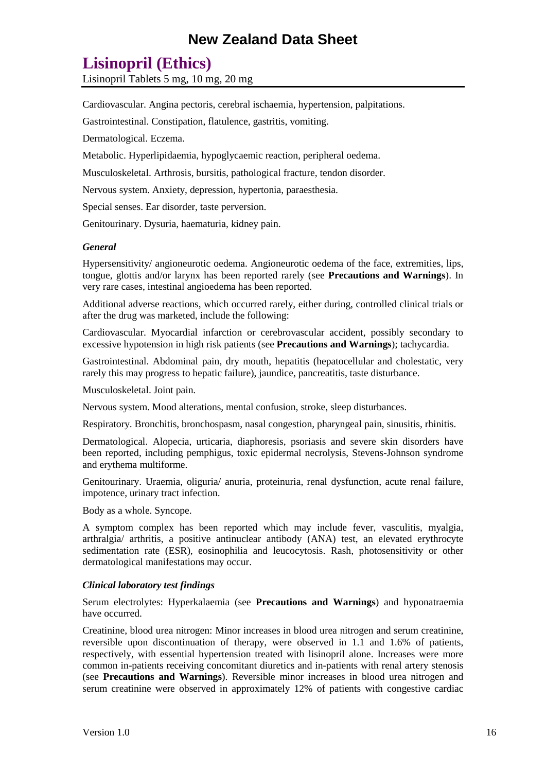### **Lisinopril (Ethics)**

Lisinopril Tablets 5 mg, 10 mg, 20 mg

Cardiovascular. Angina pectoris, cerebral ischaemia, hypertension, palpitations.

Gastrointestinal. Constipation, flatulence, gastritis, vomiting.

Dermatological. Eczema.

Metabolic. Hyperlipidaemia, hypoglycaemic reaction, peripheral oedema.

Musculoskeletal. Arthrosis, bursitis, pathological fracture, tendon disorder.

Nervous system. Anxiety, depression, hypertonia, paraesthesia.

Special senses. Ear disorder, taste perversion.

Genitourinary. Dysuria, haematuria, kidney pain.

#### *General*

Hypersensitivity/ angioneurotic oedema. Angioneurotic oedema of the face, extremities, lips, tongue, glottis and/or larynx has been reported rarely (see **Precautions and Warnings**). In very rare cases, intestinal angioedema has been reported.

Additional adverse reactions, which occurred rarely, either during, controlled clinical trials or after the drug was marketed, include the following:

Cardiovascular. Myocardial infarction or cerebrovascular accident, possibly secondary to excessive hypotension in high risk patients (see **Precautions and Warnings**); tachycardia.

Gastrointestinal. Abdominal pain, dry mouth, hepatitis (hepatocellular and cholestatic, very rarely this may progress to hepatic failure), jaundice, pancreatitis, taste disturbance.

Musculoskeletal. Joint pain.

Nervous system. Mood alterations, mental confusion, stroke, sleep disturbances.

Respiratory. Bronchitis, bronchospasm, nasal congestion, pharyngeal pain, sinusitis, rhinitis.

Dermatological. Alopecia, urticaria, diaphoresis, psoriasis and severe skin disorders have been reported, including pemphigus, toxic epidermal necrolysis, Stevens-Johnson syndrome and erythema multiforme.

Genitourinary. Uraemia, oliguria/ anuria, proteinuria, renal dysfunction, acute renal failure, impotence, urinary tract infection.

Body as a whole. Syncope.

A symptom complex has been reported which may include fever, vasculitis, myalgia, arthralgia/ arthritis, a positive antinuclear antibody (ANA) test, an elevated erythrocyte sedimentation rate (ESR), eosinophilia and leucocytosis. Rash, photosensitivity or other dermatological manifestations may occur.

#### *Clinical laboratory test findings*

Serum electrolytes: Hyperkalaemia (see **Precautions and Warnings**) and hyponatraemia have occurred.

Creatinine, blood urea nitrogen: Minor increases in blood urea nitrogen and serum creatinine, reversible upon discontinuation of therapy, were observed in 1.1 and 1.6% of patients, respectively, with essential hypertension treated with lisinopril alone. Increases were more common in-patients receiving concomitant diuretics and in-patients with renal artery stenosis (see **Precautions and Warnings**). Reversible minor increases in blood urea nitrogen and serum creatinine were observed in approximately 12% of patients with congestive cardiac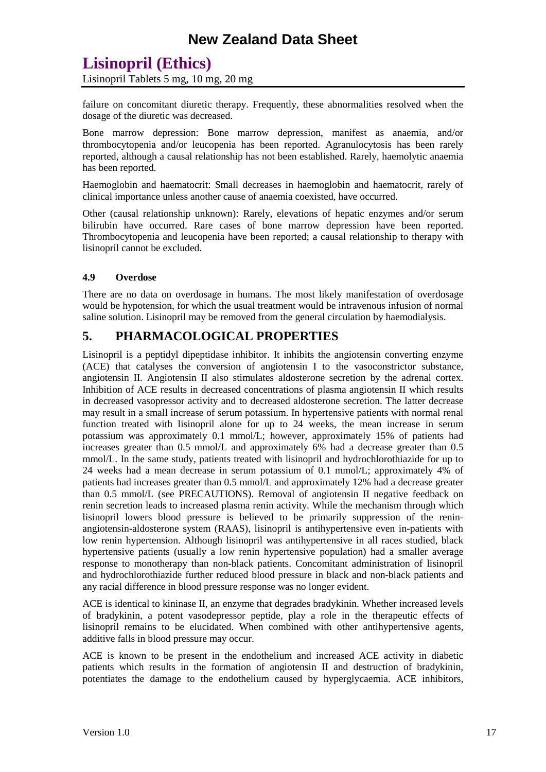Lisinopril Tablets 5 mg, 10 mg, 20 mg

failure on concomitant diuretic therapy. Frequently, these abnormalities resolved when the dosage of the diuretic was decreased.

Bone marrow depression: Bone marrow depression, manifest as anaemia, and/or thrombocytopenia and/or leucopenia has been reported. Agranulocytosis has been rarely reported, although a causal relationship has not been established. Rarely, haemolytic anaemia has been reported.

Haemoglobin and haematocrit: Small decreases in haemoglobin and haematocrit, rarely of clinical importance unless another cause of anaemia coexisted, have occurred.

Other (causal relationship unknown): Rarely, elevations of hepatic enzymes and/or serum bilirubin have occurred. Rare cases of bone marrow depression have been reported. Thrombocytopenia and leucopenia have been reported; a causal relationship to therapy with lisinopril cannot be excluded.

#### **4.9 Overdose**

There are no data on overdosage in humans. The most likely manifestation of overdosage would be hypotension, for which the usual treatment would be intravenous infusion of normal saline solution. Lisinopril may be removed from the general circulation by haemodialysis.

### **5. PHARMACOLOGICAL PROPERTIES**

Lisinopril is a peptidyl dipeptidase inhibitor. It inhibits the angiotensin converting enzyme (ACE) that catalyses the conversion of angiotensin I to the vasoconstrictor substance, angiotensin II. Angiotensin II also stimulates aldosterone secretion by the adrenal cortex. Inhibition of ACE results in decreased concentrations of plasma angiotensin II which results in decreased vasopressor activity and to decreased aldosterone secretion. The latter decrease may result in a small increase of serum potassium. In hypertensive patients with normal renal function treated with lisinopril alone for up to 24 weeks, the mean increase in serum potassium was approximately 0.1 mmol/L; however, approximately 15% of patients had increases greater than 0.5 mmol/L and approximately 6% had a decrease greater than 0.5 mmol/L. In the same study, patients treated with lisinopril and hydrochlorothiazide for up to 24 weeks had a mean decrease in serum potassium of 0.1 mmol/L; approximately 4% of patients had increases greater than 0.5 mmol/L and approximately 12% had a decrease greater than 0.5 mmol/L (see PRECAUTIONS). Removal of angiotensin II negative feedback on renin secretion leads to increased plasma renin activity. While the mechanism through which lisinopril lowers blood pressure is believed to be primarily suppression of the reninangiotensin-aldosterone system (RAAS), lisinopril is antihypertensive even in-patients with low renin hypertension. Although lisinopril was antihypertensive in all races studied, black hypertensive patients (usually a low renin hypertensive population) had a smaller average response to monotherapy than non-black patients. Concomitant administration of lisinopril and hydrochlorothiazide further reduced blood pressure in black and non-black patients and any racial difference in blood pressure response was no longer evident.

ACE is identical to kininase II, an enzyme that degrades bradykinin. Whether increased levels of bradykinin, a potent vasodepressor peptide, play a role in the therapeutic effects of lisinopril remains to be elucidated. When combined with other antihypertensive agents, additive falls in blood pressure may occur.

ACE is known to be present in the endothelium and increased ACE activity in diabetic patients which results in the formation of angiotensin II and destruction of bradykinin, potentiates the damage to the endothelium caused by hyperglycaemia. ACE inhibitors,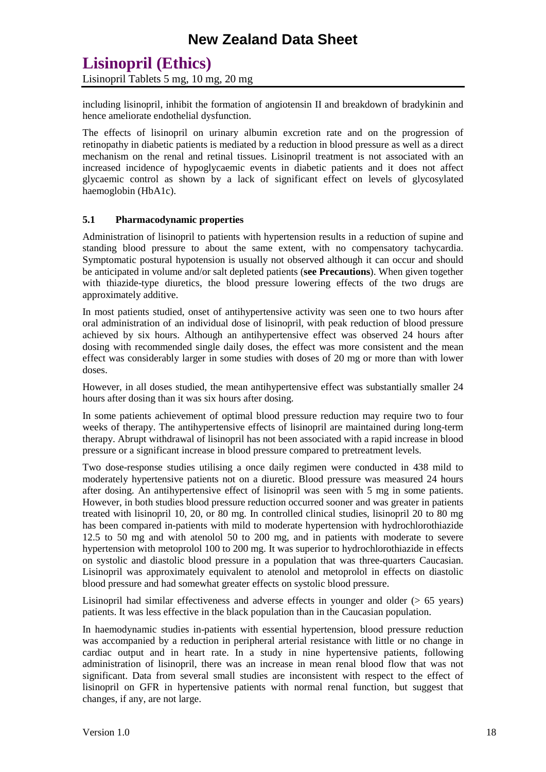Lisinopril Tablets 5 mg, 10 mg, 20 mg

including lisinopril, inhibit the formation of angiotensin II and breakdown of bradykinin and hence ameliorate endothelial dysfunction.

The effects of lisinopril on urinary albumin excretion rate and on the progression of retinopathy in diabetic patients is mediated by a reduction in blood pressure as well as a direct mechanism on the renal and retinal tissues. Lisinopril treatment is not associated with an increased incidence of hypoglycaemic events in diabetic patients and it does not affect glycaemic control as shown by a lack of significant effect on levels of glycosylated haemoglobin (HbA1c).

#### **5.1 Pharmacodynamic properties**

Administration of lisinopril to patients with hypertension results in a reduction of supine and standing blood pressure to about the same extent, with no compensatory tachycardia. Symptomatic postural hypotension is usually not observed although it can occur and should be anticipated in volume and/or salt depleted patients (**see Precautions**). When given together with thiazide-type diuretics, the blood pressure lowering effects of the two drugs are approximately additive.

In most patients studied, onset of antihypertensive activity was seen one to two hours after oral administration of an individual dose of lisinopril, with peak reduction of blood pressure achieved by six hours. Although an antihypertensive effect was observed 24 hours after dosing with recommended single daily doses, the effect was more consistent and the mean effect was considerably larger in some studies with doses of 20 mg or more than with lower doses.

However, in all doses studied, the mean antihypertensive effect was substantially smaller 24 hours after dosing than it was six hours after dosing.

In some patients achievement of optimal blood pressure reduction may require two to four weeks of therapy. The antihypertensive effects of lisinopril are maintained during long-term therapy. Abrupt withdrawal of lisinopril has not been associated with a rapid increase in blood pressure or a significant increase in blood pressure compared to pretreatment levels.

Two dose-response studies utilising a once daily regimen were conducted in 438 mild to moderately hypertensive patients not on a diuretic. Blood pressure was measured 24 hours after dosing. An antihypertensive effect of lisinopril was seen with 5 mg in some patients. However, in both studies blood pressure reduction occurred sooner and was greater in patients treated with lisinopril 10, 20, or 80 mg. In controlled clinical studies, lisinopril 20 to 80 mg has been compared in-patients with mild to moderate hypertension with hydrochlorothiazide 12.5 to 50 mg and with atenolol 50 to 200 mg, and in patients with moderate to severe hypertension with metoprolol 100 to 200 mg. It was superior to hydrochlorothiazide in effects on systolic and diastolic blood pressure in a population that was three-quarters Caucasian. Lisinopril was approximately equivalent to atenolol and metoprolol in effects on diastolic blood pressure and had somewhat greater effects on systolic blood pressure.

Lisinopril had similar effectiveness and adverse effects in younger and older (> 65 years) patients. It was less effective in the black population than in the Caucasian population.

In haemodynamic studies in-patients with essential hypertension, blood pressure reduction was accompanied by a reduction in peripheral arterial resistance with little or no change in cardiac output and in heart rate. In a study in nine hypertensive patients, following administration of lisinopril, there was an increase in mean renal blood flow that was not significant. Data from several small studies are inconsistent with respect to the effect of lisinopril on GFR in hypertensive patients with normal renal function, but suggest that changes, if any, are not large.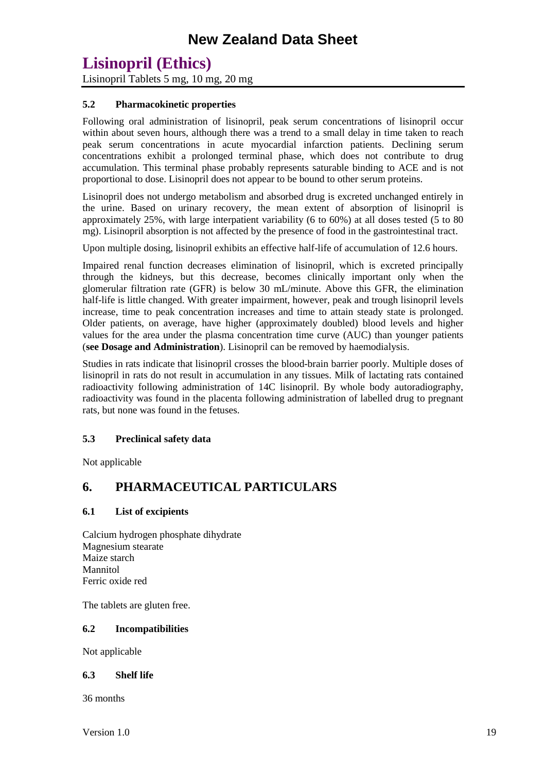Lisinopril Tablets 5 mg, 10 mg, 20 mg

#### **5.2 Pharmacokinetic properties**

Following oral administration of lisinopril, peak serum concentrations of lisinopril occur within about seven hours, although there was a trend to a small delay in time taken to reach peak serum concentrations in acute myocardial infarction patients. Declining serum concentrations exhibit a prolonged terminal phase, which does not contribute to drug accumulation. This terminal phase probably represents saturable binding to ACE and is not proportional to dose. Lisinopril does not appear to be bound to other serum proteins.

Lisinopril does not undergo metabolism and absorbed drug is excreted unchanged entirely in the urine. Based on urinary recovery, the mean extent of absorption of lisinopril is approximately 25%, with large interpatient variability (6 to 60%) at all doses tested (5 to 80 mg). Lisinopril absorption is not affected by the presence of food in the gastrointestinal tract.

Upon multiple dosing, lisinopril exhibits an effective half-life of accumulation of 12.6 hours.

Impaired renal function decreases elimination of lisinopril, which is excreted principally through the kidneys, but this decrease, becomes clinically important only when the glomerular filtration rate (GFR) is below 30 mL/minute. Above this GFR, the elimination half-life is little changed. With greater impairment, however, peak and trough lisinopril levels increase, time to peak concentration increases and time to attain steady state is prolonged. Older patients, on average, have higher (approximately doubled) blood levels and higher values for the area under the plasma concentration time curve (AUC) than younger patients (**see Dosage and Administration**). Lisinopril can be removed by haemodialysis.

Studies in rats indicate that lisinopril crosses the blood-brain barrier poorly. Multiple doses of lisinopril in rats do not result in accumulation in any tissues. Milk of lactating rats contained radioactivity following administration of 14C lisinopril. By whole body autoradiography, radioactivity was found in the placenta following administration of labelled drug to pregnant rats, but none was found in the fetuses.

#### **5.3 Preclinical safety data**

Not applicable

### **6. PHARMACEUTICAL PARTICULARS**

#### **6.1 List of excipients**

Calcium hydrogen phosphate dihydrate Magnesium stearate Maize starch Mannitol Ferric oxide red

The tablets are gluten free.

#### **6.2 Incompatibilities**

Not applicable

#### **6.3 Shelf life**

36 months